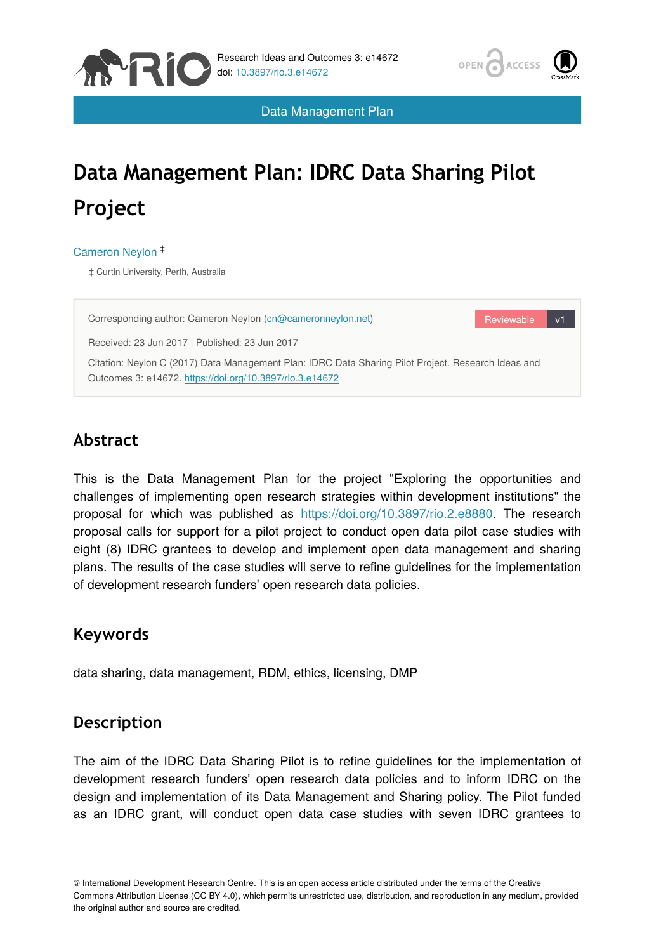



Data Management Plan

# **Data Management Plan: IDRC Data Sharing Pilot Project**

Cameron Neylon ‡

‡ Curtin University, Perth, Australia



# **Abstract**

This is the Data Management Plan for the project "Exploring the opportunities and challenges of implementing open research strategies within development institutions" the proposal for which was published as <https://doi.org/10.3897/rio.2.e8880>. The research proposal calls for support for a pilot project to conduct open data pilot case studies with eight (8) IDRC grantees to develop and implement open data management and sharing plans. The results of the case studies will serve to refine guidelines for the implementation of development research funders' open research data policies.

# **Keywords**

data sharing, data management, RDM, ethics, licensing, DMP

# **Description**

The aim of the IDRC Data Sharing Pilot is to refine guidelines for the implementation of development research funders' open research data policies and to inform IDRC on the design and implementation of its Data Management and Sharing policy. The Pilot funded as an IDRC grant, will conduct open data case studies with seven IDRC grantees to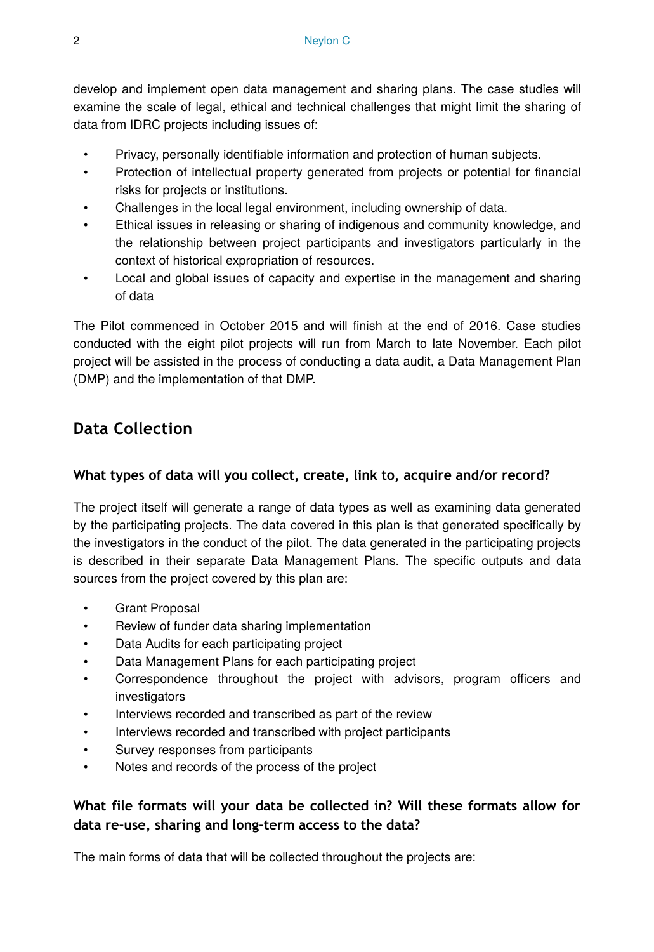develop and implement open data management and sharing plans. The case studies will examine the scale of legal, ethical and technical challenges that might limit the sharing of data from IDRC projects including issues of:

- Privacy, personally identifiable information and protection of human subjects.
- Protection of intellectual property generated from projects or potential for financial risks for projects or institutions.
- Challenges in the local legal environment, including ownership of data.
- Ethical issues in releasing or sharing of indigenous and community knowledge, and the relationship between project participants and investigators particularly in the context of historical expropriation of resources.
- Local and global issues of capacity and expertise in the management and sharing of data

The Pilot commenced in October 2015 and will finish at the end of 2016. Case studies conducted with the eight pilot projects will run from March to late November. Each pilot project will be assisted in the process of conducting a data audit, a Data Management Plan (DMP) and the implementation of that DMP.

# **Data Collection**

#### **What types of data will you collect, create, link to, acquire and/or record?**

The project itself will generate a range of data types as well as examining data generated by the participating projects. The data covered in this plan is that generated specifically by the investigators in the conduct of the pilot. The data generated in the participating projects is described in their separate Data Management Plans. The specific outputs and data sources from the project covered by this plan are:

- Grant Proposal
- Review of funder data sharing implementation
- Data Audits for each participating project
- Data Management Plans for each participating project
- Correspondence throughout the project with advisors, program officers and investigators
- Interviews recorded and transcribed as part of the review
- Interviews recorded and transcribed with project participants
- Survey responses from participants
- Notes and records of the process of the project

## **What file formats will your data be collected in? Will these formats allow for data re-use, sharing and long-term access to the data?**

The main forms of data that will be collected throughout the projects are: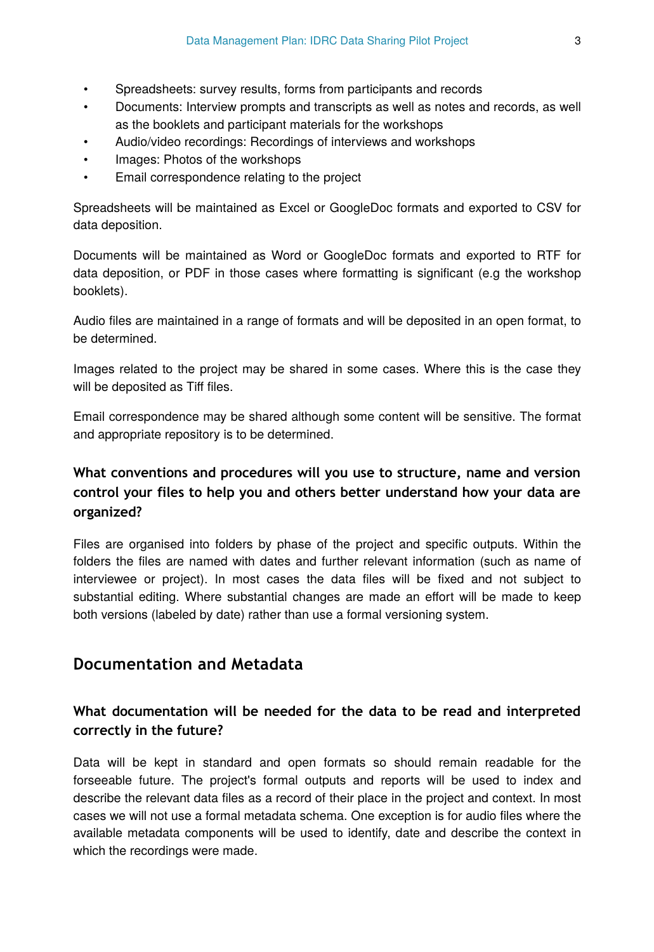- Spreadsheets: survey results, forms from participants and records
- Documents: Interview prompts and transcripts as well as notes and records, as well as the booklets and participant materials for the workshops
- Audio/video recordings: Recordings of interviews and workshops
- Images: Photos of the workshops
- Email correspondence relating to the project

Spreadsheets will be maintained as Excel or GoogleDoc formats and exported to CSV for data deposition.

Documents will be maintained as Word or GoogleDoc formats and exported to RTF for data deposition, or PDF in those cases where formatting is significant (e.g the workshop booklets).

Audio files are maintained in a range of formats and will be deposited in an open format, to be determined.

Images related to the project may be shared in some cases. Where this is the case they will be deposited as Tiff files.

Email correspondence may be shared although some content will be sensitive. The format and appropriate repository is to be determined.

## **What conventions and procedures will you use to structure, name and version control your files to help you and others better understand how your data are organized?**

Files are organised into folders by phase of the project and specific outputs. Within the folders the files are named with dates and further relevant information (such as name of interviewee or project). In most cases the data files will be fixed and not subject to substantial editing. Where substantial changes are made an effort will be made to keep both versions (labeled by date) rather than use a formal versioning system.

## **Documentation and Metadata**

## **What documentation will be needed for the data to be read and interpreted correctly in the future?**

Data will be kept in standard and open formats so should remain readable for the forseeable future. The project's formal outputs and reports will be used to index and describe the relevant data files as a record of their place in the project and context. In most cases we will not use a formal metadata schema. One exception is for audio files where the available metadata components will be used to identify, date and describe the context in which the recordings were made.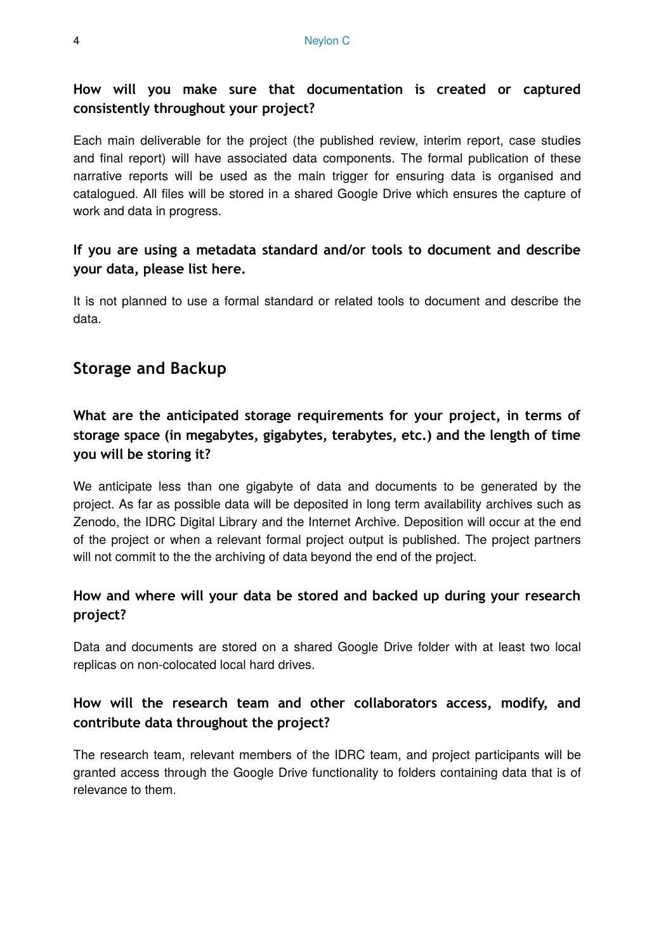## **How will you make sure that documentation is created or captured consistently throughout your project?**

Each main deliverable for the project (the published review, interim report, case studies and final report) will have associated data components. The formal publication of these narrative reports will be used as the main trigger for ensuring data is organised and catalogued. All files will be stored in a shared Google Drive which ensures the capture of work and data in progress.

## **If you are using a metadata standard and/or tools to document and describe your data, please list here.**

It is not planned to use a formal standard or related tools to document and describe the data.

# **Storage and Backup**

# **What are the anticipated storage requirements for your project, in terms of storage space (in megabytes, gigabytes, terabytes, etc.) and the length of time you will be storing it?**

We anticipate less than one gigabyte of data and documents to be generated by the project. As far as possible data will be deposited in long term availability archives such as Zenodo, the IDRC Digital Library and the Internet Archive. Deposition will occur at the end of the project or when a relevant formal project output is published. The project partners will not commit to the the archiving of data beyond the end of the project.

## **How and where will your data be stored and backed up during your research project?**

Data and documents are stored on a shared Google Drive folder with at least two local replicas on non-colocated local hard drives.

## **How will the research team and other collaborators access, modify, and contribute data throughout the project?**

The research team, relevant members of the IDRC team, and project participants will be granted access through the Google Drive functionality to folders containing data that is of relevance to them.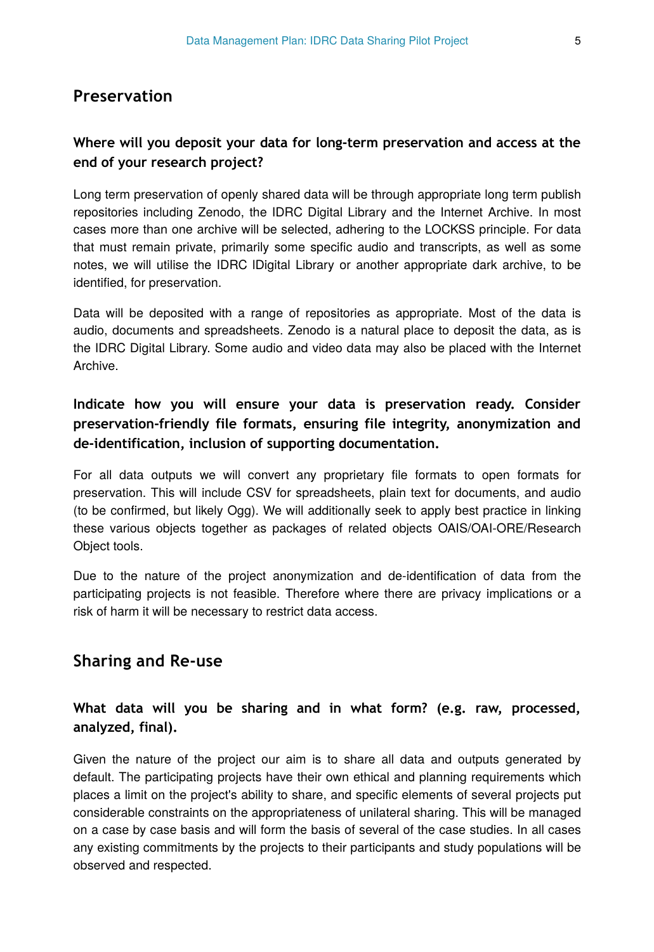#### **Preservation**

#### **Where will you deposit your data for long-term preservation and access at the end of your research project?**

Long term preservation of openly shared data will be through appropriate long term publish repositories including Zenodo, the IDRC Digital Library and the Internet Archive. In most cases more than one archive will be selected, adhering to the LOCKSS principle. For data that must remain private, primarily some specific audio and transcripts, as well as some notes, we will utilise the IDRC lDigital Library or another appropriate dark archive, to be identified, for preservation.

Data will be deposited with a range of repositories as appropriate. Most of the data is audio, documents and spreadsheets. Zenodo is a natural place to deposit the data, as is the IDRC Digital Library. Some audio and video data may also be placed with the Internet Archive.

## **Indicate how you will ensure your data is preservation ready. Consider preservation-friendly file formats, ensuring file integrity, anonymization and de-identification, inclusion of supporting documentation.**

For all data outputs we will convert any proprietary file formats to open formats for preservation. This will include CSV for spreadsheets, plain text for documents, and audio (to be confirmed, but likely Ogg). We will additionally seek to apply best practice in linking these various objects together as packages of related objects OAIS/OAI-ORE/Research Object tools.

Due to the nature of the project anonymization and de-identification of data from the participating projects is not feasible. Therefore where there are privacy implications or a risk of harm it will be necessary to restrict data access.

## **Sharing and Re-use**

## **What data will you be sharing and in what form? (e.g. raw, processed, analyzed, final).**

Given the nature of the project our aim is to share all data and outputs generated by default. The participating projects have their own ethical and planning requirements which places a limit on the project's ability to share, and specific elements of several projects put considerable constraints on the appropriateness of unilateral sharing. This will be managed on a case by case basis and will form the basis of several of the case studies. In all cases any existing commitments by the projects to their participants and study populations will be observed and respected.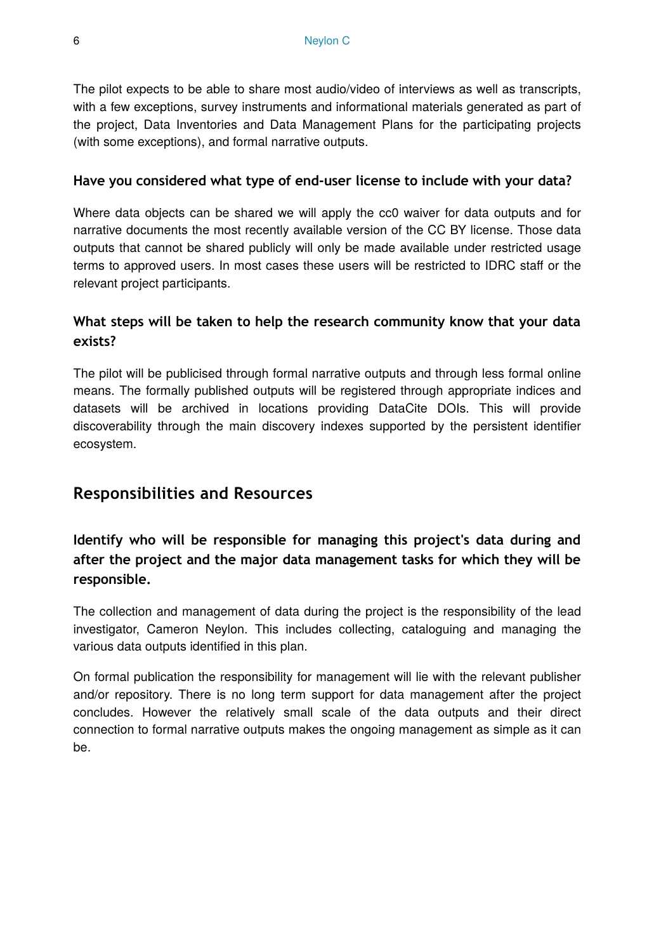The pilot expects to be able to share most audio/video of interviews as well as transcripts, with a few exceptions, survey instruments and informational materials generated as part of the project, Data Inventories and Data Management Plans for the participating projects (with some exceptions), and formal narrative outputs.

#### **Have you considered what type of end-user license to include with your data?**

Where data objects can be shared we will apply the cc0 waiver for data outputs and for narrative documents the most recently available version of the CC BY license. Those data outputs that cannot be shared publicly will only be made available under restricted usage terms to approved users. In most cases these users will be restricted to IDRC staff or the relevant project participants.

## **What steps will be taken to help the research community know that your data exists?**

The pilot will be publicised through formal narrative outputs and through less formal online means. The formally published outputs will be registered through appropriate indices and datasets will be archived in locations providing DataCite DOIs. This will provide discoverability through the main discovery indexes supported by the persistent identifier ecosystem.

## **Responsibilities and Resources**

**Identify who will be responsible for managing this project's data during and after the project and the major data management tasks for which they will be responsible.**

The collection and management of data during the project is the responsibility of the lead investigator, Cameron Neylon. This includes collecting, cataloguing and managing the various data outputs identified in this plan.

On formal publication the responsibility for management will lie with the relevant publisher and/or repository. There is no long term support for data management after the project concludes. However the relatively small scale of the data outputs and their direct connection to formal narrative outputs makes the ongoing management as simple as it can be.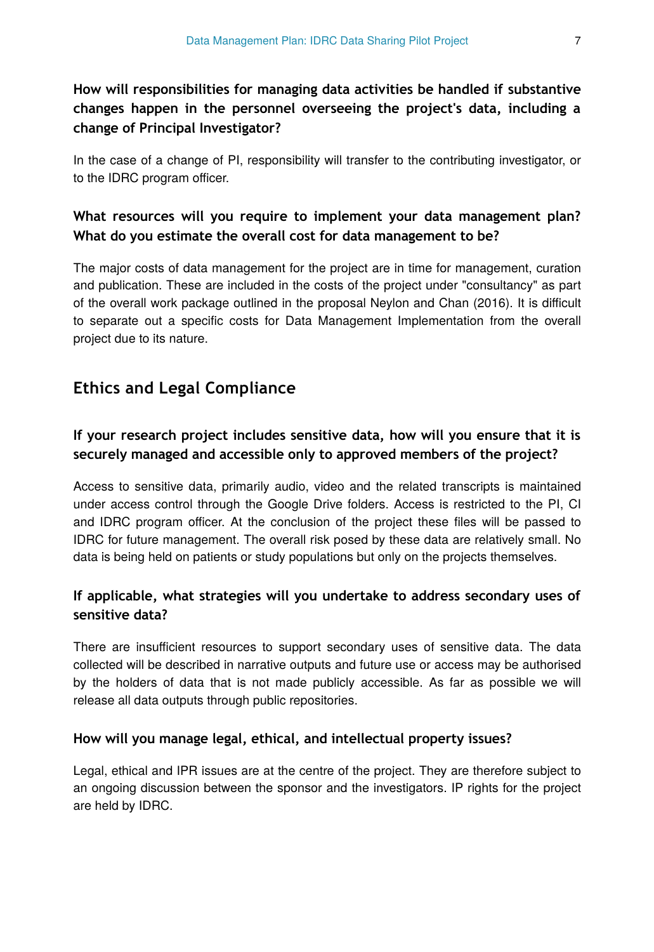## **How will responsibilities for managing data activities be handled if substantive changes happen in the personnel overseeing the project's data, including a change of Principal Investigator?**

In the case of a change of PI, responsibility will transfer to the contributing investigator, or to the IDRC program officer.

## **What resources will you require to implement your data management plan? What do you estimate the overall cost for data management to be?**

The major costs of data management for the project are in time for management, curation and publication. These are included in the costs of the project under "consultancy" as part of the overall work package outlined in the proposal Neylon and Chan (2016). It is difficult to separate out a specific costs for Data Management Implementation from the overall project due to its nature.

# **Ethics and Legal Compliance**

## **If your research project includes sensitive data, how will you ensure that it is securely managed and accessible only to approved members of the project?**

Access to sensitive data, primarily audio, video and the related transcripts is maintained under access control through the Google Drive folders. Access is restricted to the PI, CI and IDRC program officer. At the conclusion of the project these files will be passed to IDRC for future management. The overall risk posed by these data are relatively small. No data is being held on patients or study populations but only on the projects themselves.

## **If applicable, what strategies will you undertake to address secondary uses of sensitive data?**

There are insufficient resources to support secondary uses of sensitive data. The data collected will be described in narrative outputs and future use or access may be authorised by the holders of data that is not made publicly accessible. As far as possible we will release all data outputs through public repositories.

#### **How will you manage legal, ethical, and intellectual property issues?**

Legal, ethical and IPR issues are at the centre of the project. They are therefore subject to an ongoing discussion between the sponsor and the investigators. IP rights for the project are held by IDRC.